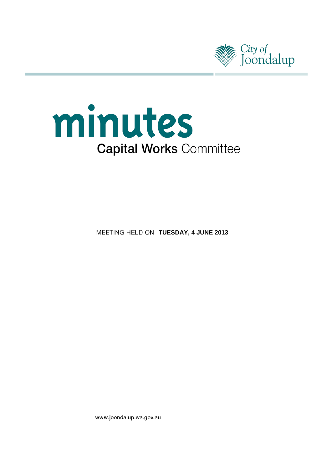



**MEETING HELD ON TUESDAY, 4 JUNE 2013** 

www.joondalup.wa.gov.au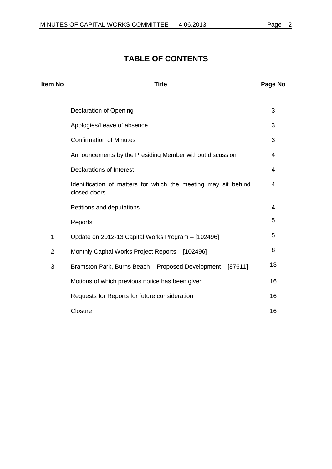# **TABLE OF CONTENTS**

| Item No        | <b>Title</b>                                                                   | Page No |
|----------------|--------------------------------------------------------------------------------|---------|
|                | <b>Declaration of Opening</b>                                                  | 3       |
|                | Apologies/Leave of absence                                                     | 3       |
|                | <b>Confirmation of Minutes</b>                                                 | 3       |
|                | Announcements by the Presiding Member without discussion                       | 4       |
|                | <b>Declarations of Interest</b>                                                | 4       |
|                | Identification of matters for which the meeting may sit behind<br>closed doors | 4       |
|                | Petitions and deputations                                                      | 4       |
|                | Reports                                                                        | 5       |
| 1              | Update on 2012-13 Capital Works Program - [102496]                             | 5       |
| $\overline{2}$ | Monthly Capital Works Project Reports - [102496]                               | 8       |
| 3              | Bramston Park, Burns Beach - Proposed Development - [87611]                    | 13      |
|                | Motions of which previous notice has been given                                | 16      |
|                | Requests for Reports for future consideration                                  | 16      |
|                | Closure                                                                        | 16      |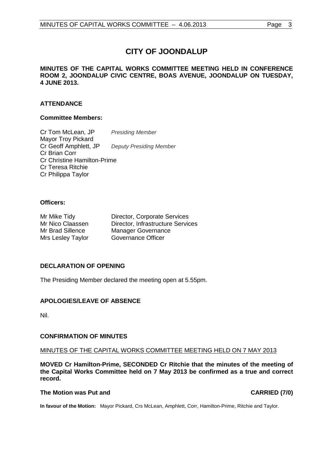# **CITY OF JOONDALUP**

## **MINUTES OF THE CAPITAL WORKS COMMITTEE MEETING HELD IN CONFERENCE ROOM 2, JOONDALUP CIVIC CENTRE, BOAS AVENUE, JOONDALUP ON TUESDAY, 4 JUNE 2013.**

# **ATTENDANCE**

## **Committee Members:**

Cr Tom McLean, JP *Presiding Member* Mayor Troy Pickard Cr Geoff Amphlett, JP *Deputy Presiding Member* Cr Brian Corr Cr Christine Hamilton-Prime Cr Teresa Ritchie Cr Philippa Taylor

## **Officers:**

| Mr Mike Tidy      | Director, Corporate Services      |
|-------------------|-----------------------------------|
| Mr Nico Claassen  | Director, Infrastructure Services |
| Mr Brad Sillence  | <b>Manager Governance</b>         |
| Mrs Lesley Taylor | Governance Officer                |

# <span id="page-2-0"></span>**DECLARATION OF OPENING**

The Presiding Member declared the meeting open at 5.55pm.

# <span id="page-2-1"></span>**APOLOGIES/LEAVE OF ABSENCE**

Nil.

# <span id="page-2-2"></span>**CONFIRMATION OF MINUTES**

#### MINUTES OF THE CAPITAL WORKS COMMITTEE MEETING HELD ON 7 MAY 2013

**MOVED Cr Hamilton-Prime, SECONDED Cr Ritchie that the minutes of the meeting of the Capital Works Committee held on 7 May 2013 be confirmed as a true and correct record.**

#### **The Motion was Put and CARRIED (7/0)**

**In favour of the Motion:** Mayor Pickard, Crs McLean, Amphlett, Corr, Hamilton-Prime, Ritchie and Taylor.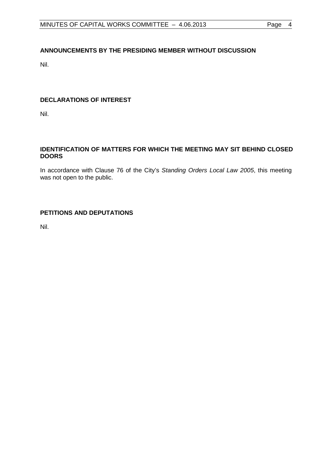# <span id="page-3-0"></span>**ANNOUNCEMENTS BY THE PRESIDING MEMBER WITHOUT DISCUSSION**

Nil.

# <span id="page-3-1"></span>**DECLARATIONS OF INTEREST**

Nil.

# <span id="page-3-2"></span>**IDENTIFICATION OF MATTERS FOR WHICH THE MEETING MAY SIT BEHIND CLOSED DOORS**

In accordance with Clause 76 of the City's *Standing Orders Local Law 2005*, this meeting was not open to the public.

# <span id="page-3-3"></span>**PETITIONS AND DEPUTATIONS**

Nil.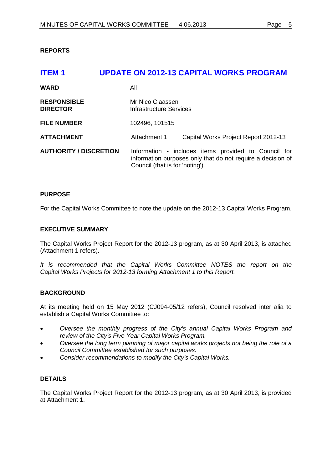# <span id="page-4-1"></span><span id="page-4-0"></span>**REPORTS**

| <b>ITEM1</b>                          | <b>UPDATE ON 2012-13 CAPITAL WORKS PROGRAM</b>                                                                                                         |
|---------------------------------------|--------------------------------------------------------------------------------------------------------------------------------------------------------|
| <b>WARD</b>                           | All                                                                                                                                                    |
| <b>RESPONSIBLE</b><br><b>DIRECTOR</b> | Mr Nico Claassen<br>Infrastructure Services                                                                                                            |
| <b>FILE NUMBER</b>                    | 102496, 101515                                                                                                                                         |
| <b>ATTACHMENT</b>                     | Attachment 1<br>Capital Works Project Report 2012-13                                                                                                   |
| <b>AUTHORITY / DISCRETION</b>         | Information - includes items provided to Council for<br>information purposes only that do not require a decision of<br>Council (that is for 'noting'). |

# **PURPOSE**

For the Capital Works Committee to note the update on the 2012-13 Capital Works Program.

## **EXECUTIVE SUMMARY**

The Capital Works Project Report for the 2012-13 program, as at 30 April 2013, is attached (Attachment 1 refers).

*It is recommended that the Capital Works Committee NOTES the report on the Capital Works Projects for 2012-13 forming Attachment 1 to this Report.*

# **BACKGROUND**

At its meeting held on 15 May 2012 (CJ094-05/12 refers), Council resolved inter alia to establish a Capital Works Committee to:

- *Oversee the monthly progress of the City's annual Capital Works Program and review of the City's Five Year Capital Works Program.*
- *Oversee the long term planning of major capital works projects not being the role of a Council Committee established for such purposes.*
- *Consider recommendations to modify the City's Capital Works.*

# **DETAILS**

The Capital Works Project Report for the 2012-13 program, as at 30 April 2013, is provided at Attachment 1.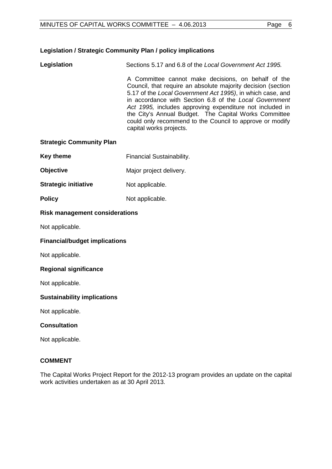# **Legislation / Strategic Community Plan / policy implications**

**Legislation** Sections 5.17 and 6.8 of the *Local Government Act 1995.*

A Committee cannot make decisions, on behalf of the Council, that require an absolute majority decision (section 5.17 of the *Local Government Act 1995)*, in which case, and in accordance with Section 6.8 of the *Local Government Act 1995,* includes approving expenditure not included in the City's Annual Budget. The Capital Works Committee could only recommend to the Council to approve or modify capital works projects.

## **Strategic Community Plan**

- **Key theme** Financial Sustainability.
- **Objective** Major project delivery.
- **Strategic initiative** Not applicable.
- **Policy** Not applicable.

# **Risk management considerations**

Not applicable.

# **Financial/budget implications**

Not applicable.

# **Regional significance**

Not applicable.

# **Sustainability implications**

Not applicable.

# **Consultation**

Not applicable.

# **COMMENT**

The Capital Works Project Report for the 2012-13 program provides an update on the capital work activities undertaken as at 30 April 2013.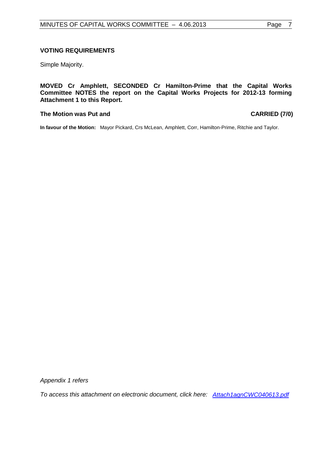## **VOTING REQUIREMENTS**

Simple Majority.

**MOVED Cr Amphlett, SECONDED Cr Hamilton-Prime that the Capital Works Committee NOTES the report on the Capital Works Projects for 2012-13 forming Attachment 1 to this Report.**

#### **The Motion was Put and CARRIED (7/0)**

**In favour of the Motion:** Mayor Pickard, Crs McLean, Amphlett, Corr, Hamilton-Prime, Ritchie and Taylor.

*Appendix 1 refers*

*To access this attachment on electronic document, click he[re: Attach1agnCWC040613.pdf](http://www.joondalup.wa.gov.au/files/committees/CWOC/2013/Attach1agnCWC040613.pdf)*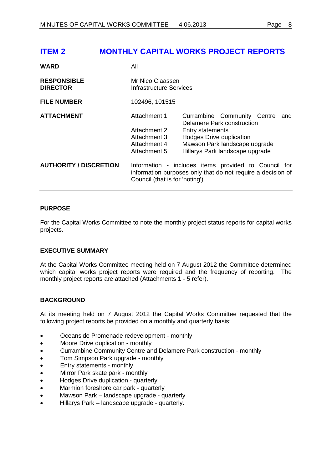<span id="page-7-0"></span>

| <b>WARD</b>                           | All                                                                                                                                                    |                                                     |                                                                                                                               |     |
|---------------------------------------|--------------------------------------------------------------------------------------------------------------------------------------------------------|-----------------------------------------------------|-------------------------------------------------------------------------------------------------------------------------------|-----|
| <b>RESPONSIBLE</b><br><b>DIRECTOR</b> | Mr Nico Claassen<br><b>Infrastructure Services</b>                                                                                                     |                                                     |                                                                                                                               |     |
| <b>FILE NUMBER</b>                    | 102496, 101515                                                                                                                                         |                                                     |                                                                                                                               |     |
| <b>ATTACHMENT</b>                     | Attachment 1<br>Attachment 2<br>Attachment 3<br>Attachment 4<br>Attachment 5                                                                           | <b>Entry statements</b><br>Hodges Drive duplication | Currambine Community Centre<br>Delamere Park construction<br>Mawson Park landscape upgrade<br>Hillarys Park landscape upgrade | and |
| <b>AUTHORITY / DISCRETION</b>         | Information - includes items provided to Council for<br>information purposes only that do not require a decision of<br>Council (that is for 'noting'). |                                                     |                                                                                                                               |     |

# **PURPOSE**

For the Capital Works Committee to note the monthly project status reports for capital works projects.

# **EXECUTIVE SUMMARY**

At the Capital Works Committee meeting held on 7 August 2012 the Committee determined which capital works project reports were required and the frequency of reporting. The monthly project reports are attached (Attachments 1 - 5 refer).

# **BACKGROUND**

At its meeting held on 7 August 2012 the Capital Works Committee requested that the following project reports be provided on a monthly and quarterly basis:

- Oceanside Promenade redevelopment monthly
- Moore Drive duplication monthly
- Currambine Community Centre and Delamere Park construction monthly
- Tom Simpson Park upgrade monthly
- Entry statements monthly
- Mirror Park skate park monthly
- Hodges Drive duplication quarterly
- Marmion foreshore car park quarterly
- Mawson Park landscape upgrade quarterly
- Hillarys Park landscape upgrade quarterly.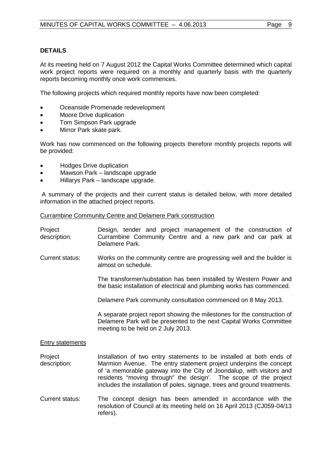# **DETAILS**

At its meeting held on 7 August 2012 the Capital Works Committee determined which capital work project reports were required on a monthly and quarterly basis with the quarterly reports becoming monthly once work commences.

The following projects which required monthly reports have now been completed:

- Oceanside Promenade redevelopment
- Moore Drive duplication
- Tom Simpson Park upgrade
- Mirror Park skate park.

Work has now commenced on the following projects therefore monthly projects reports will be provided:

- Hodges Drive duplication
- Mawson Park landscape upgrade
- Hillarys Park landscape upgrade.

A summary of the projects and their current status is detailed below, with more detailed information in the attached project reports.

#### Currambine Community Centre and Delamere Park construction

| Project<br>description:                                                                                         | Design, tender and project management of the construction of<br>Currambine Community Centre and a new park and car park at<br>Delamere Park.                                                                                                                                                                                                                        |
|-----------------------------------------------------------------------------------------------------------------|---------------------------------------------------------------------------------------------------------------------------------------------------------------------------------------------------------------------------------------------------------------------------------------------------------------------------------------------------------------------|
| Current status:<br>Works on the community centre are progressing well and the builder is<br>almost on schedule. |                                                                                                                                                                                                                                                                                                                                                                     |
|                                                                                                                 | The transformer/substation has been installed by Western Power and<br>the basic installation of electrical and plumbing works has commenced.                                                                                                                                                                                                                        |
|                                                                                                                 | Delamere Park community consultation commenced on 8 May 2013.                                                                                                                                                                                                                                                                                                       |
|                                                                                                                 | A separate project report showing the milestones for the construction of<br>Delamere Park will be presented to the next Capital Works Committee<br>meeting to be held on 2 July 2013.                                                                                                                                                                               |
| <b>Entry statements</b>                                                                                         |                                                                                                                                                                                                                                                                                                                                                                     |
| Project<br>description:                                                                                         | Installation of two entry statements to be installed at both ends of<br>Marmion Avenue. The entry statement project underpins the concept<br>of 'a memorable gateway into the City of Joondalup, with visitors and<br>residents "moving through" the design'. The scope of the project<br>includes the installation of poles, signage, trees and ground treatments. |
| <b>Current status:</b>                                                                                          | The concept design has been amended in accordance with the<br>resolution of Council at its meeting held on 16 April 2013 (CJ059-04/13<br>refers).                                                                                                                                                                                                                   |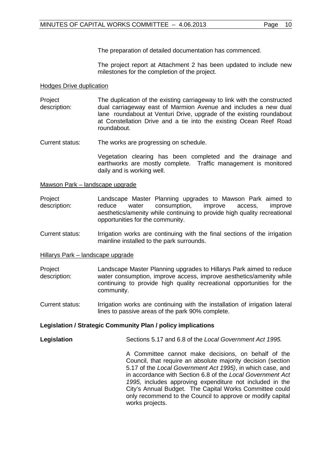The preparation of detailed documentation has commenced.

The project report at Attachment 2 has been updated to include new milestones for the completion of the project.

## Hodges Drive duplication

- Project description: The duplication of the existing carriageway to link with the constructed dual carriageway east of Marmion Avenue and includes a new dual lane roundabout at Venturi Drive, upgrade of the existing roundabout at Constellation Drive and a tie into the existing Ocean Reef Road roundabout.
- Current status: The works are progressing on schedule.

Vegetation clearing has been completed and the drainage and earthworks are mostly complete. Traffic management is monitored daily and is working well.

Mawson Park – landscape upgrade

- Project description: Landscape Master Planning upgrades to Mawson Park aimed to reduce water consumption, improve access, improve aesthetics/amenity while continuing to provide high quality recreational opportunities for the community.
- Current status: Irrigation works are continuing with the final sections of the irrigation mainline installed to the park surrounds.

Hillarys Park – landscape upgrade

- Project description: Landscape Master Planning upgrades to Hillarys Park aimed to reduce water consumption, improve access, improve aesthetics/amenity while continuing to provide high quality recreational opportunities for the community.
- Current status: Irrigation works are continuing with the installation of irrigation lateral lines to passive areas of the park 90% complete.

# **Legislation / Strategic Community Plan / policy implications**

**Legislation** Sections 5.17 and 6.8 of the *Local Government Act 1995.*

A Committee cannot make decisions, on behalf of the Council, that require an absolute majority decision (section 5.17 of the *Local Government Act 1995)*, in which case, and in accordance with Section 6.8 of the *Local Government Act 1995,* includes approving expenditure not included in the City's Annual Budget. The Capital Works Committee could only recommend to the Council to approve or modify capital works projects.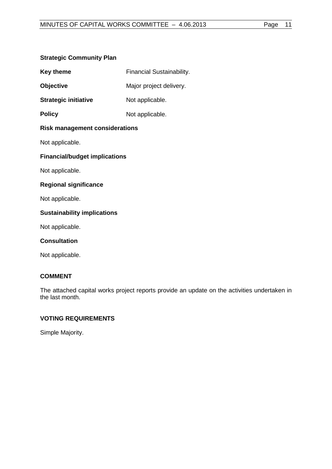# **Strategic Community Plan**

| <b>Key theme</b>                      | <b>Financial Sustainability.</b> |  |
|---------------------------------------|----------------------------------|--|
| <b>Objective</b>                      | Major project delivery.          |  |
| <b>Strategic initiative</b>           | Not applicable.                  |  |
| <b>Policy</b>                         | Not applicable.                  |  |
| <b>Risk management considerations</b> |                                  |  |
| Not applicable.                       |                                  |  |
| <b>Financial/budget implications</b>  |                                  |  |
| Not applicable.                       |                                  |  |
| <b>Regional significance</b>          |                                  |  |
| Not applicable.                       |                                  |  |
| <b>Sustainability implications</b>    |                                  |  |
| Not applicable.                       |                                  |  |
| <b>Consultation</b>                   |                                  |  |

Not applicable.

# **COMMENT**

The attached capital works project reports provide an update on the activities undertaken in the last month.

# **VOTING REQUIREMENTS**

Simple Majority.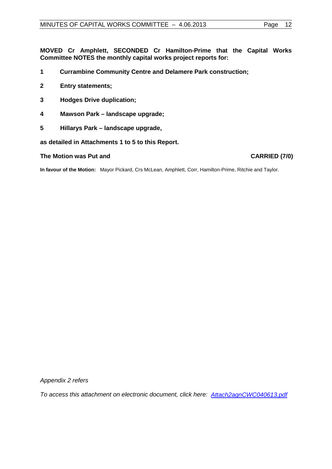**MOVED Cr Amphlett, SECONDED Cr Hamilton-Prime that the Capital Works Committee NOTES the monthly capital works project reports for:**

- **1 Currambine Community Centre and Delamere Park construction;**
- **2 Entry statements;**
- **3 Hodges Drive duplication;**
- **4 Mawson Park – landscape upgrade;**
- **5 Hillarys Park – landscape upgrade,**

**as detailed in Attachments 1 to 5 to this Report.**

#### **The Motion was Put and CARRIED (7/0)**

**In favour of the Motion:** Mayor Pickard, Crs McLean, Amphlett, Corr, Hamilton-Prime, Ritchie and Taylor.

*Appendix 2 refers*

*To access this attachment on electronic document, click [here: Attach2agnCWC040613.pdf](http://www.joondalup.wa.gov.au/files/committees/CWOC/2013/Attach2agnCWC040613.pdf)*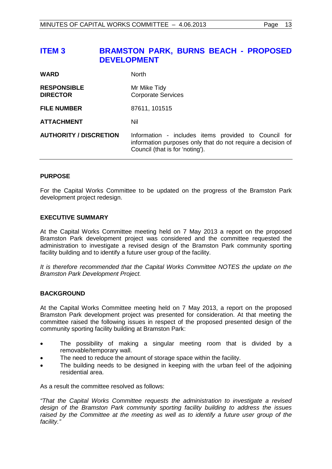# <span id="page-12-0"></span>**ITEM 3 BRAMSTON PARK, BURNS BEACH - PROPOSED DEVELOPMENT**

| <b>WARD</b>                           | <b>North</b>                                                                                                                                           |
|---------------------------------------|--------------------------------------------------------------------------------------------------------------------------------------------------------|
| <b>RESPONSIBLE</b><br><b>DIRECTOR</b> | Mr Mike Tidy<br><b>Corporate Services</b>                                                                                                              |
| <b>FILE NUMBER</b>                    | 87611, 101515                                                                                                                                          |
| <b>ATTACHMENT</b>                     | Nil                                                                                                                                                    |
| <b>AUTHORITY / DISCRETION</b>         | Information - includes items provided to Council for<br>information purposes only that do not require a decision of<br>Council (that is for 'noting'). |

# **PURPOSE**

For the Capital Works Committee to be updated on the progress of the Bramston Park development project redesign.

## **EXECUTIVE SUMMARY**

At the Capital Works Committee meeting held on 7 May 2013 a report on the proposed Bramston Park development project was considered and the committee requested the administration to investigate a revised design of the Bramston Park community sporting facility building and to identify a future user group of the facility.

*It is therefore recommended that the Capital Works Committee NOTES the update on the Bramston Park Development Project.*

# **BACKGROUND**

At the Capital Works Committee meeting held on 7 May 2013, a report on the proposed Bramston Park development project was presented for consideration. At that meeting the committee raised the following issues in respect of the proposed presented design of the community sporting facility building at Bramston Park:

- The possibility of making a singular meeting room that is divided by a removable/temporary wall.
- The need to reduce the amount of storage space within the facility.
- The building needs to be designed in keeping with the urban feel of the adjoining residential area.

As a result the committee resolved as follows:

*"That the Capital Works Committee requests the administration to investigate a revised design of the Bramston Park community sporting facility building to address the issues raised by the Committee at the meeting as well as to identify a future user group of the facility."*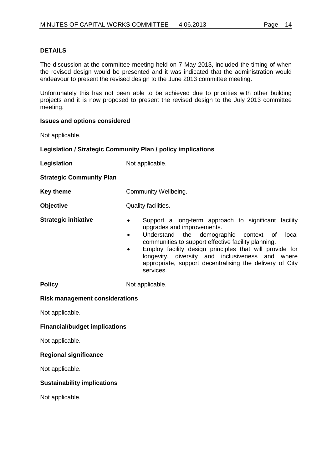The discussion at the committee meeting held on 7 May 2013, included the timing of when the revised design would be presented and it was indicated that the administration would endeavour to present the revised design to the June 2013 committee meeting.

Unfortunately this has not been able to be achieved due to priorities with other building projects and it is now proposed to present the revised design to the July 2013 committee meeting.

#### **Issues and options considered**

Not applicable.

## **Legislation / Strategic Community Plan / policy implications**

**Legislation** Not applicable.

## **Strategic Community Plan**

**Key theme Community Wellbeing.** 

**Objective** Quality facilities.

- **Strategic initiative •** Support a long-term approach to significant facility upgrades and improvements.
	- Understand the demographic context of local communities to support effective facility planning.
	- Employ facility design principles that will provide for longevity, diversity and inclusiveness and where appropriate, support decentralising the delivery of City services.

**Policy** Not applicable.

# **Risk management considerations**

Not applicable.

# **Financial/budget implications**

Not applicable.

# **Regional significance**

Not applicable.

# **Sustainability implications**

Not applicable.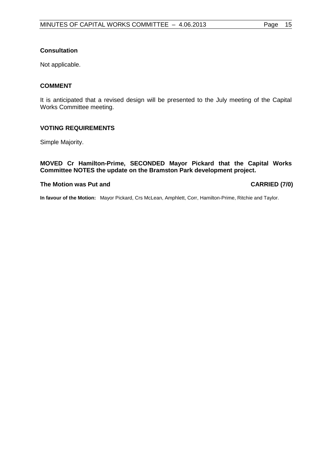# **Consultation**

Not applicable.

# **COMMENT**

It is anticipated that a revised design will be presented to the July meeting of the Capital Works Committee meeting.

# **VOTING REQUIREMENTS**

Simple Majority.

# **MOVED Cr Hamilton-Prime, SECONDED Mayor Pickard that the Capital Works Committee NOTES the update on the Bramston Park development project.**

#### **The Motion was Put and CARRIED (7/0)**

**In favour of the Motion:** Mayor Pickard, Crs McLean, Amphlett, Corr, Hamilton-Prime, Ritchie and Taylor.